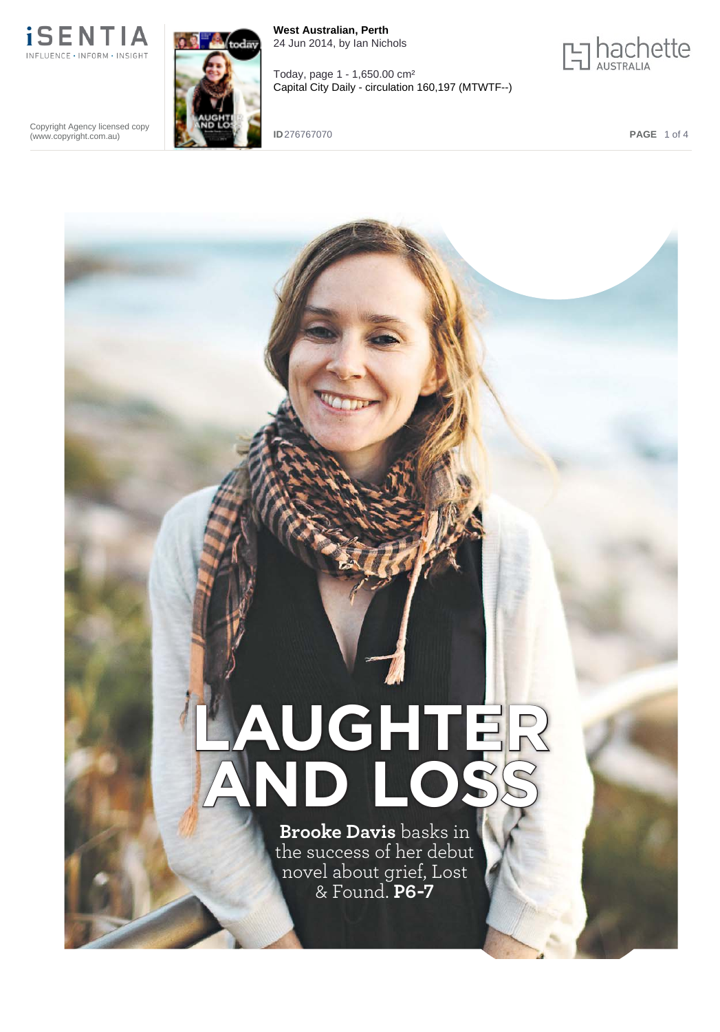

**West Australian, Perth** 24 Jun 2014, by Ian Nichols

Today, page 1 - 1,650.00 cm²

Capital City Daily - circulation 160,197 (MTWTF--)



Copyright Agency licensed copy (www.copyright.com.au)

**ID** 276767070 **PAGE** 1 of 4

## **LAUGHTER AND LOSS Brooke Davis** basks in the success of her debut novel about grief, Lost & Found. **P6-7**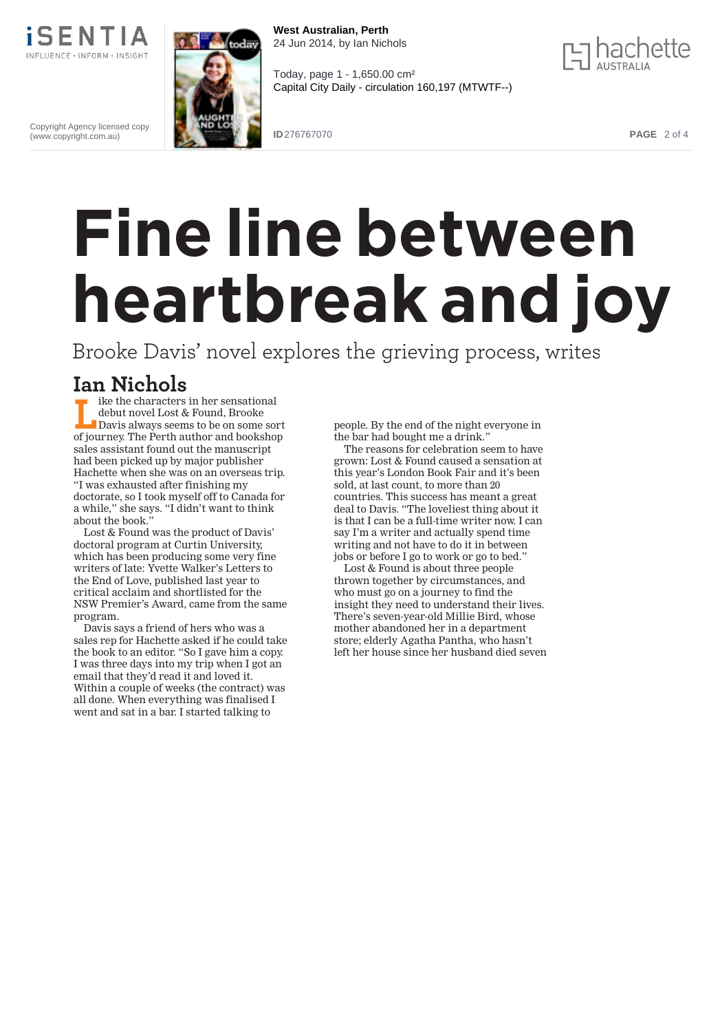

Copyright Agency licensed copy (www.copyright.com.au)



**West Australian, Perth** 24 Jun 2014, by Ian Nichols

Today, page 1 - 1,650.00 cm²

Capital City Daily - circulation 160,197 (MTWTF--)



**ID** 276767070 **PAGE** 2 of 4

## **Fine line between heartbreak and joy**

Brooke Davis' novel explores the grieving process, writes

## **Ian Nichols**

ike the characters in her sensational debut novel Lost & Found, Brooke Davis always seems to be on some sort of journey. The Perth author and bookshop sales assistant found out the manuscript had been picked up by major publisher Hachette when she was on an overseas trip. "I was exhausted after finishing my doctorate, so I took myself off to Canada for a while," she says. "I didn't want to think about the book."

Lost & Found was the product of Davis' doctoral program at Curtin University, which has been producing some very fine writers of late: Yvette Walker's Letters to the End of Love, published last year to critical acclaim and shortlisted for the NSW Premier's Award, came from the same program.

Davis says a friend of hers who was a sales rep for Hachette asked if he could take the book to an editor. "So I gave him a copy. I was three days into my trip when I got an email that they'd read it and loved it. Within a couple of weeks (the contract) was all done. When everything was finalised I went and sat in a bar. I started talking to

people. By the end of the night everyone in the bar had bought me a drink."

The reasons for celebration seem to have grown: Lost & Found caused a sensation at this year's London Book Fair and it's been sold, at last count, to more than 20 countries. This success has meant a great deal to Davis. "The loveliest thing about it is that I can be a full-time writer now. I can say I'm a writer and actually spend time writing and not have to do it in between jobs or before I go to work or go to bed."

Lost & Found is about three people thrown together by circumstances, and who must go on a journey to find the insight they need to understand their lives. There's seven-year-old Millie Bird, whose mother abandoned her in a department store; elderly Agatha Pantha, who hasn't left her house since her husband died seven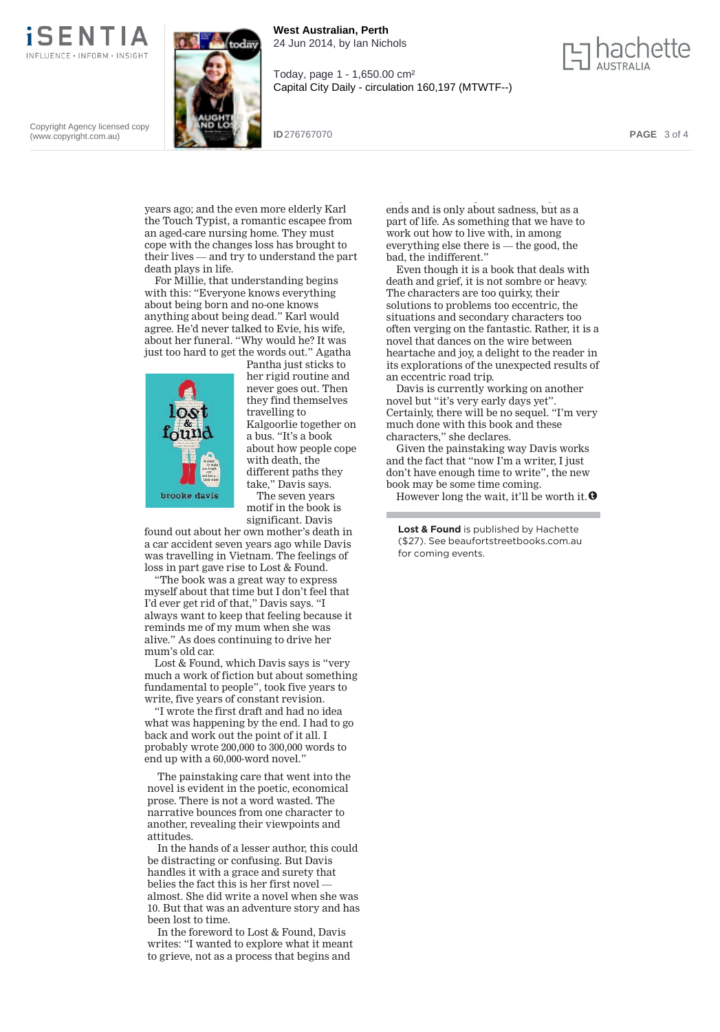

Copyright Agency licensed copy (www.copyright.com.au)

**West Australian, Perth** odāv 24 Jun 2014, by Ian Nichols





**ID** 276767070 **PAGE** 3 of 4

years ago; and the even more elderly Karl the Touch Typist, a romantic escapee from an aged-care nursing home. They must cope with the changes loss has brought to their lives — and try to understand the part death plays in life.

For Millie, that understanding begins with this: "Everyone knows everything about being born and no-one knows anything about being dead." Karl would agree. He'd never talked to Evie, his wife, about her funeral. "Why would he? It was just too hard to get the words out." Agatha



Pantha just sticks to her rigid routine and never goes out. Then they find themselves travelling to Kalgoorlie together on a bus. "It's a book about how people cope with death, the different paths they take," Davis says. The seven years

motif in the book is significant. Davis

found out about her own mother's death in a car accident seven years ago while Davis was travelling in Vietnam. The feelings of loss in part gave rise to Lost & Found.

"The book was a great way to express myself about that time but I don't feel that I'd ever get rid of that," Davis says. "I always want to keep that feeling because it reminds me of my mum when she was alive." As does continuing to drive her mum's old car.

Lost & Found, which Davis says is "very much a work of fiction but about something fundamental to people", took five years to write, five years of constant revision.

"I wrote the first draft and had no idea what was happening by the end. I had to go back and work out the point of it all. I probably wrote 200,000 to 300,000 words to end up with a 60,000-word novel."

The painstaking care that went into the novel is evident in the poetic, economical prose. There is not a word wasted. The narrative bounces from one character to another, revealing their viewpoints and attitudes.

In the hands of a lesser author, this could be distracting or confusing. But Davis handles it with a grace and surety that belies the fact this is her first novel almost. She did write a novel when she was 10. But that was an adventure story and has been lost to time.

In the foreword to Lost & Found, Davis writes: "I wanted to explore what it meant to grieve, not as a process that begins and

g, p g ends and is only about sadness, but as a part of life. As something that we have to work out how to live with, in among everything else there is — the good, the bad, the indifferent."

Even though it is a book that deals with death and grief, it is not sombre or heavy. The characters are too quirky, their solutions to problems too eccentric, the situations and secondary characters too often verging on the fantastic. Rather, it is a novel that dances on the wire between heartache and joy, a delight to the reader in its explorations of the unexpected results of an eccentric road trip.

Davis is currently working on another novel but "it's very early days yet". Certainly, there will be no sequel. "I'm very much done with this book and these characters," she declares.

Given the painstaking way Davis works and the fact that "now I'm a writer, I just don't have enough time to write", the new book may be some time coming.

However long the wait, it'll be worth it.  $\Theta$ 

**Lost & Found** is published by Hachette (\$27). See beaufortstreetbooks.com.au for coming events.